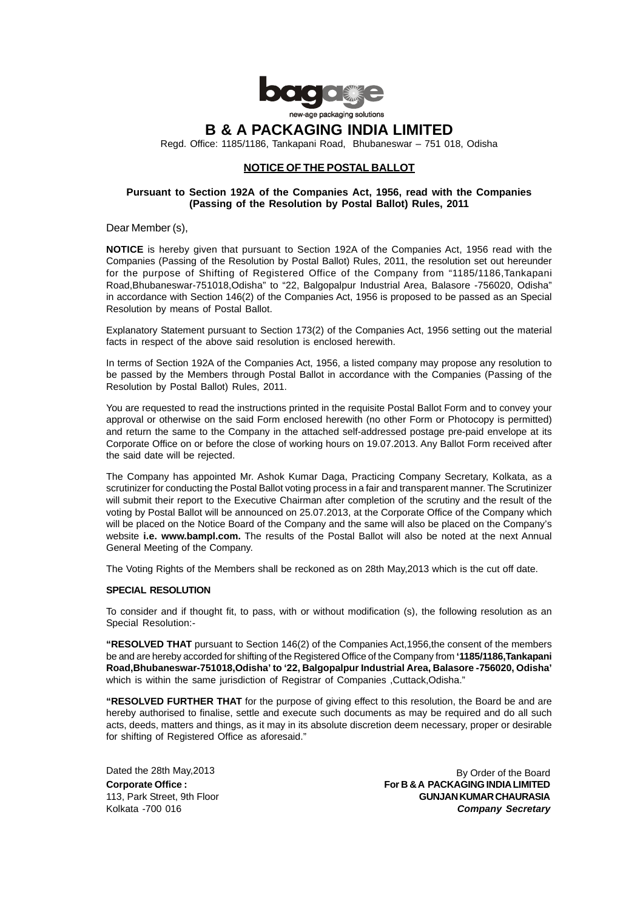

Regd. Office: 1185/1186, Tankapani Road, Bhubaneswar – 751 018, Odisha

## **NOTICE OF THE POSTAL BALLOT**

# **Pursuant to Section 192A of the Companies Act, 1956, read with the Companies (Passing of the Resolution by Postal Ballot) Rules, 2011**

Dear Member (s),

**NOTICE** is hereby given that pursuant to Section 192A of the Companies Act, 1956 read with the Companies (Passing of the Resolution by Postal Ballot) Rules, 2011, the resolution set out hereunder for the purpose of Shifting of Registered Office of the Company from "1185/1186,Tankapani Road,Bhubaneswar-751018,Odisha" to "22, Balgopalpur Industrial Area, Balasore -756020, Odisha" in accordance with Section 146(2) of the Companies Act, 1956 is proposed to be passed as an Special Resolution by means of Postal Ballot.

Explanatory Statement pursuant to Section 173(2) of the Companies Act, 1956 setting out the material facts in respect of the above said resolution is enclosed herewith.

In terms of Section 192A of the Companies Act, 1956, a listed company may propose any resolution to be passed by the Members through Postal Ballot in accordance with the Companies (Passing of the Resolution by Postal Ballot) Rules, 2011.

You are requested to read the instructions printed in the requisite Postal Ballot Form and to convey your approval or otherwise on the said Form enclosed herewith (no other Form or Photocopy is permitted) and return the same to the Company in the attached self-addressed postage pre-paid envelope at its Corporate Office on or before the close of working hours on 19.07.2013. Any Ballot Form received after the said date will be rejected.

The Company has appointed Mr. Ashok Kumar Daga, Practicing Company Secretary, Kolkata, as a scrutinizer for conducting the Postal Ballot voting process in a fair and transparent manner. The Scrutinizer will submit their report to the Executive Chairman after completion of the scrutiny and the result of the voting by Postal Ballot will be announced on 25.07.2013, at the Corporate Office of the Company which will be placed on the Notice Board of the Company and the same will also be placed on the Company's website **i.e. www.bampl.com.** The results of the Postal Ballot will also be noted at the next Annual General Meeting of the Company.

The Voting Rights of the Members shall be reckoned as on 28th May,2013 which is the cut off date.

#### **SPECIAL RESOLUTION**

To consider and if thought fit, to pass, with or without modification (s), the following resolution as an Special Resolution:-

**"RESOLVED THAT** pursuant to Section 146(2) of the Companies Act,1956,the consent of the members be and are hereby accorded for shifting of the Registered Office of the Company from **'1185/1186,Tankapani Road,Bhubaneswar-751018,Odisha' to '22, Balgopalpur Industrial Area, Balasore -756020, Odisha'** which is within the same jurisdiction of Registrar of Companies ,Cuttack,Odisha."

**"RESOLVED FURTHER THAT** for the purpose of giving effect to this resolution, the Board be and are hereby authorised to finalise, settle and execute such documents as may be required and do all such acts, deeds, matters and things, as it may in its absolute discretion deem necessary, proper or desirable for shifting of Registered Office as aforesaid."

Dated the 28th May,2013

By Order of the Board Corporate Office : For B & A PACKAGING INDIA LIMITED 113, Park Street, 9th Floor **GUNJAN KUMAR CHAURASIA** Kolkata -700 016 *Company Secretary*